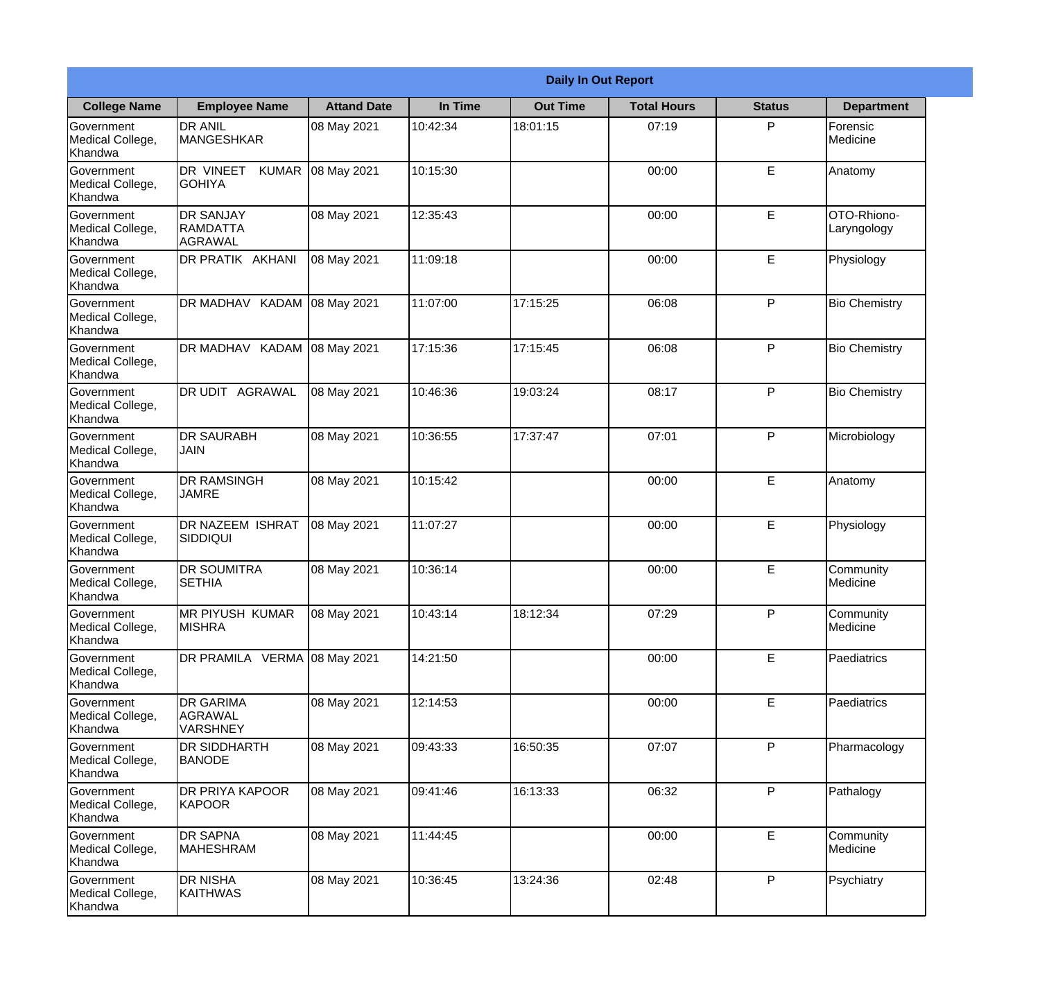|                                                  | <b>Daily In Out Report</b>                            |                    |          |                 |                    |               |                            |  |
|--------------------------------------------------|-------------------------------------------------------|--------------------|----------|-----------------|--------------------|---------------|----------------------------|--|
| <b>College Name</b>                              | <b>Employee Name</b>                                  | <b>Attand Date</b> | In Time  | <b>Out Time</b> | <b>Total Hours</b> | <b>Status</b> | <b>Department</b>          |  |
| Government<br>Medical College,<br>Khandwa        | <b>DR ANIL</b><br><b>MANGESHKAR</b>                   | 08 May 2021        | 10:42:34 | 18:01:15        | 07:19              | P             | Forensic<br>Medicine       |  |
| Government<br>Medical College,<br>Khandwa        | DR VINEET<br><b>KUMAR</b><br><b>GOHIYA</b>            | 08 May 2021        | 10:15:30 |                 | 00:00              | E             | Anatomy                    |  |
| <b>Government</b><br>Medical College,<br>Khandwa | <b>DR SANJAY</b><br>RAMDATTA<br>AGRAWAL               | 08 May 2021        | 12:35:43 |                 | 00:00              | E             | OTO-Rhiono-<br>Laryngology |  |
| <b>Government</b><br>Medical College,<br>Khandwa | DR PRATIK AKHANI                                      | 08 May 2021        | 11:09:18 |                 | 00:00              | E             | Physiology                 |  |
| Government<br>Medical College,<br>Khandwa        | DR MADHAV KADAM                                       | 08 May 2021        | 11:07:00 | 17:15:25        | 06:08              | P             | <b>Bio Chemistry</b>       |  |
| Government<br>Medical College,<br>Khandwa        | DR MADHAV KADAM                                       | 08 May 2021        | 17:15:36 | 17:15:45        | 06:08              | P             | <b>Bio Chemistry</b>       |  |
| <b>Government</b><br>Medical College,<br>Khandwa | DR UDIT AGRAWAL                                       | 08 May 2021        | 10:46:36 | 19:03:24        | 08:17              | P             | <b>Bio Chemistry</b>       |  |
| <b>Government</b><br>Medical College,<br>Khandwa | <b>DR SAURABH</b><br><b>JAIN</b>                      | 08 May 2021        | 10:36:55 | 17:37:47        | 07:01              | P             | Microbiology               |  |
| Government<br>Medical College,<br>Khandwa        | <b>DR RAMSINGH</b><br><b>JAMRE</b>                    | 08 May 2021        | 10:15:42 |                 | 00:00              | E             | Anatomy                    |  |
| Government<br>Medical College,<br>Khandwa        | <b>DR NAZEEM ISHRAT</b><br><b>SIDDIQUI</b>            | 08 May 2021        | 11:07:27 |                 | 00:00              | $\mathsf E$   | Physiology                 |  |
| Government<br>Medical College,<br>Khandwa        | <b>DR SOUMITRA</b><br><b>SETHIA</b>                   | 08 May 2021        | 10:36:14 |                 | 00:00              | E             | Community<br>Medicine      |  |
| Government<br>Medical College,<br>Khandwa        | MR PIYUSH KUMAR<br><b>MISHRA</b>                      | 08 May 2021        | 10:43:14 | 18:12:34        | 07:29              | P             | Community<br>Medicine      |  |
| Government<br>Medical College,<br>Khandwa        | DR PRAMILA VERMA 08 May 2021                          |                    | 14:21:50 |                 | 00:00              | E             | Paediatrics                |  |
| Government<br>Medical College,<br>Khandwa        | <b>DR GARIMA</b><br><b>AGRAWAL</b><br><b>VARSHNEY</b> | 08 May 2021        | 12:14:53 |                 | 00:00              | $\mathsf E$   | Paediatrics                |  |
| Government<br>Medical College,<br>Khandwa        | <b>DR SIDDHARTH</b><br><b>BANODE</b>                  | 08 May 2021        | 09:43:33 | 16:50:35        | 07:07              | P             | Pharmacology               |  |
| Government<br>Medical College,<br>Khandwa        | <b>DR PRIYA KAPOOR</b><br>KAPOOR                      | 08 May 2021        | 09:41:46 | 16:13:33        | 06:32              | P             | Pathalogy                  |  |
| Government<br>Medical College,<br>Khandwa        | <b>DR SAPNA</b><br><b>MAHESHRAM</b>                   | 08 May 2021        | 11:44:45 |                 | 00:00              | E             | Community<br>Medicine      |  |
| Government<br>Medical College,<br>Khandwa        | <b>DR NISHA</b><br>KAITHWAS                           | 08 May 2021        | 10:36:45 | 13:24:36        | 02:48              | P             | Psychiatry                 |  |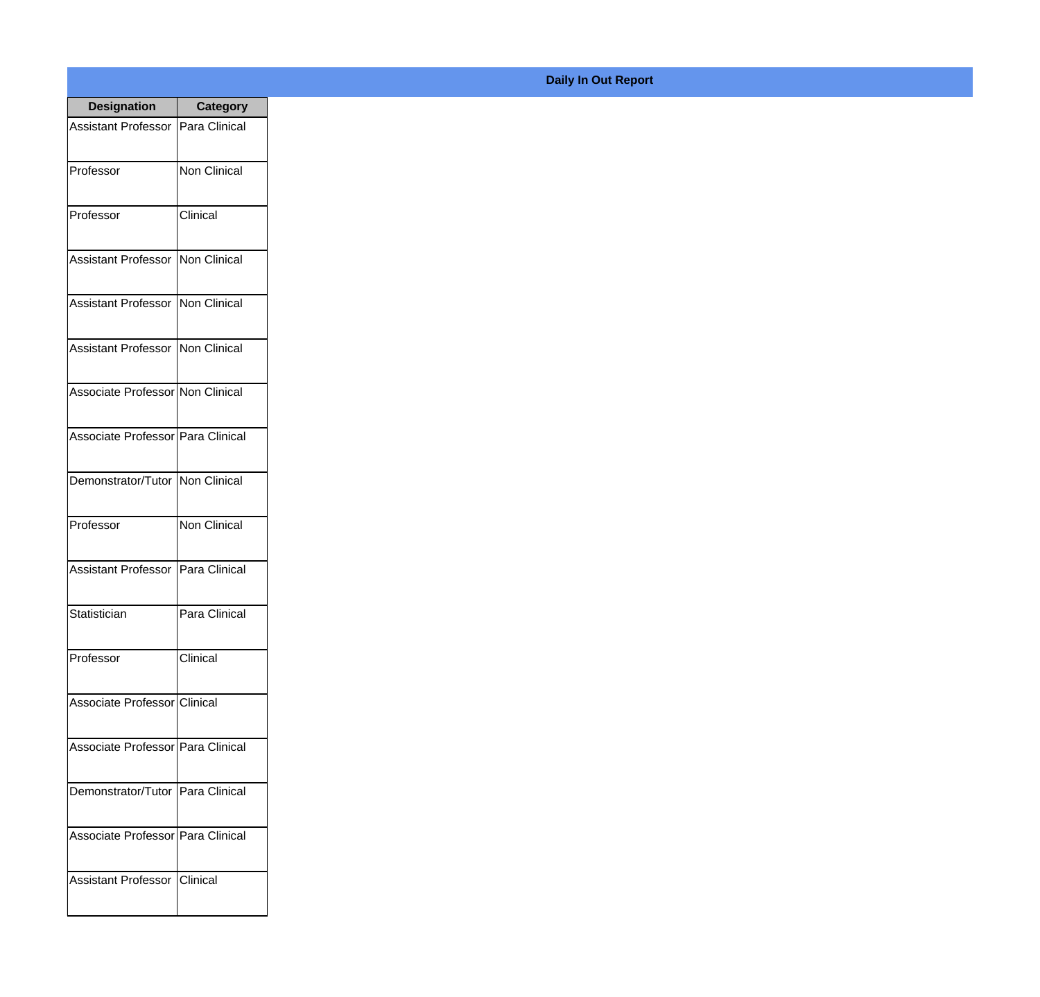| <b>Designation</b>                  | Category      |
|-------------------------------------|---------------|
| Assistant Professor   Para Clinical |               |
| Professor                           | Non Clinical  |
| Professor                           | Clinical      |
| Assistant Professor   Non Clinical  |               |
| Assistant Professor   Non Clinical  |               |
| Assistant Professor   Non Clinical  |               |
| Associate Professor Non Clinical    |               |
| Associate Professor   Para Clinical |               |
| Demonstrator/Tutor   Non Clinical   |               |
| Professor                           | Non Clinical  |
| <b>Assistant Professor</b>          | Para Clinical |
| Statistician                        | Para Clinical |
| Professor                           | Clinical      |
| Associate Professor Clinical        |               |
| Associate Professor Para Clinical   |               |
| Demonstrator/Tutor   Para Clinical  |               |
| Associate Professor Para Clinical   |               |
| <b>Assistant Professor</b>          | Clinical      |

## **Daily In Out Report**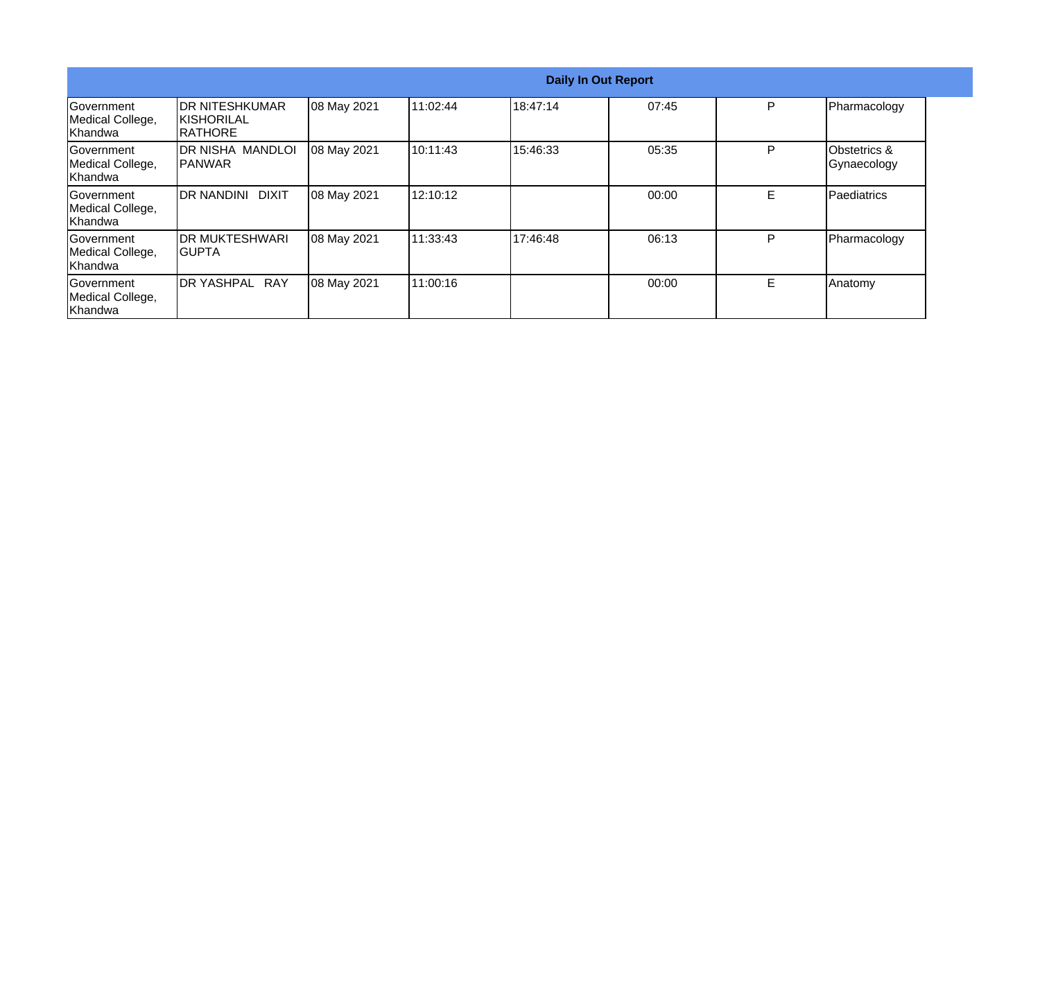|                                                  | <b>Daily In Out Report</b>                       |             |           |          |       |   |                             |
|--------------------------------------------------|--------------------------------------------------|-------------|-----------|----------|-------|---|-----------------------------|
| Government<br>Medical College,<br>Khandwa        | IDR NITESHKUMAR<br><b>KISHORILAL</b><br>IRATHORE | 08 May 2021 | 11:02:44  | 18:47:14 | 07:45 | P | Pharmacology                |
| Government<br>Medical College,<br>Khandwa        | <b>DR NISHA MANDLOI</b><br><b>IPANWAR</b>        | 08 May 2021 | 10:11:43  | 15:46:33 | 05:35 | P | Obstetrics &<br>Gynaecology |
| <b>Sovernment</b><br>Medical College,<br>Khandwa | <b>IDR NANDINI</b><br><b>DIXIT</b>               | 08 May 2021 | 12:10:12  |          | 00:00 | E | <b>Paediatrics</b>          |
| lGovernment<br>Medical College,<br>Khandwa       | <b>IDR MUKTESHWARI</b><br>IGUPTA                 | 08 May 2021 | 11:33:43  | 17:46:48 | 06:13 | P | Pharmacology                |
| Government<br>Medical College,<br>Khandwa        | DR YASHPAL RAY                                   | 08 May 2021 | 111:00:16 |          | 00:00 | Е | Anatomy                     |